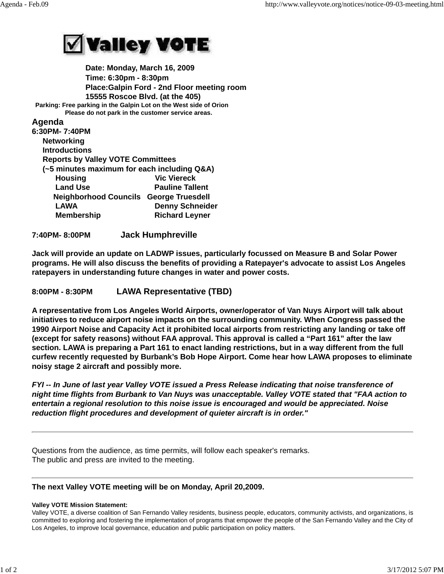

 **Date: Monday, March 16, 2009 Time: 6:30pm - 8:30pm Place:Galpin Ford - 2nd Floor meeting room 15555 Roscoe Blvd. (at the 405) Parking: Free parking in the Galpin Lot on the West side of Orion Please do not park in the customer service areas.**

**Agenda**

| 6:30PM- 7:40PM                                |                        |
|-----------------------------------------------|------------------------|
| <b>Networking</b>                             |                        |
| <b>Introductions</b>                          |                        |
| <b>Reports by Valley VOTE Committees</b>      |                        |
| (~5 minutes maximum for each including Q&A)   |                        |
| <b>Housing</b>                                | <b>Vic Viereck</b>     |
| <b>Land Use</b>                               | <b>Pauline Tallent</b> |
| <b>Neighborhood Councils George Truesdell</b> |                        |
| <b>LAWA</b>                                   | <b>Denny Schneider</b> |
| <b>Membership</b>                             | <b>Richard Leyner</b>  |
|                                               |                        |

**7:40PM- 8:00PM Jack Humphreville**

**Jack will provide an update on LADWP issues, particularly focussed on Measure B and Solar Power programs. He will also discuss the benefits of providing a Ratepayer's advocate to assist Los Angeles ratepayers in understanding future changes in water and power costs.**

**8:00PM - 8:30PM LAWA Representative (TBD)**

**A representative from Los Angeles World Airports, owner/operator of Van Nuys Airport will talk about initiatives to reduce airport noise impacts on the surrounding community. When Congress passed the 1990 Airport Noise and Capacity Act it prohibited local airports from restricting any landing or take off (except for safety reasons) without FAA approval. This approval is called a "Part 161" after the law section. LAWA is preparing a Part 161 to enact landing restrictions, but in a way different from the full curfew recently requested by Burbank's Bob Hope Airport. Come hear how LAWA proposes to eliminate noisy stage 2 aircraft and possibly more.**

*FYI -- In June of last year Valley VOTE issued a Press Release indicating that noise transference of night time flights from Burbank to Van Nuys was unacceptable. Valley VOTE stated that "FAA action to entertain a regional resolution to this noise issue is encouraged and would be appreciated. Noise reduction flight procedures and development of quieter aircraft is in order."*

Questions from the audience, as time permits, will follow each speaker's remarks. The public and press are invited to the meeting.

## **The next Valley VOTE meeting will be on Monday, April 20,2009.**

## **Valley VOTE Mission Statement:**

Valley VOTE, a diverse coalition of San Fernando Valley residents, business people, educators, community activists, and organizations, is committed to exploring and fostering the implementation of programs that empower the people of the San Fernando Valley and the City of Los Angeles, to improve local governance, education and public participation on policy matters.